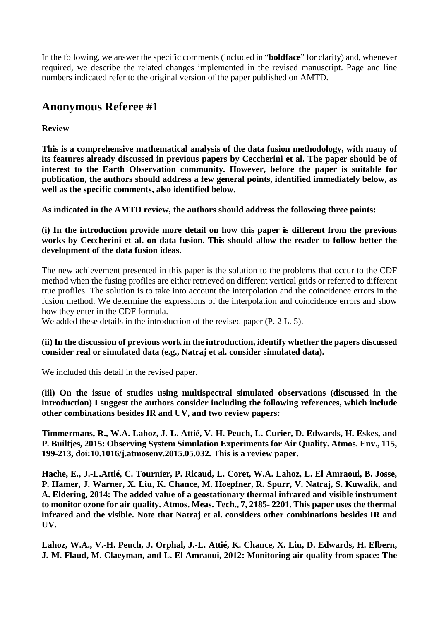In the following, we answer the specific comments (included in "**boldface**" for clarity) and, whenever required, we describe the related changes implemented in the revised manuscript. Page and line numbers indicated refer to the original version of the paper published on AMTD.

# **Anonymous Referee #1**

## **Review**

**This is a comprehensive mathematical analysis of the data fusion methodology, with many of its features already discussed in previous papers by Ceccherini et al. The paper should be of interest to the Earth Observation community. However, before the paper is suitable for publication, the authors should address a few general points, identified immediately below, as well as the specific comments, also identified below.**

**As indicated in the AMTD review, the authors should address the following three points:**

**(i) In the introduction provide more detail on how this paper is different from the previous works by Ceccherini et al. on data fusion. This should allow the reader to follow better the development of the data fusion ideas.**

The new achievement presented in this paper is the solution to the problems that occur to the CDF method when the fusing profiles are either retrieved on different vertical grids or referred to different true profiles. The solution is to take into account the interpolation and the coincidence errors in the fusion method. We determine the expressions of the interpolation and coincidence errors and show how they enter in the CDF formula.

We added these details in the introduction of the revised paper (P. 2 L. 5).

### **(ii) In the discussion of previous work in the introduction, identify whether the papers discussed consider real or simulated data (e.g., Natraj et al. consider simulated data).**

We included this detail in the revised paper.

**(iii) On the issue of studies using multispectral simulated observations (discussed in the introduction) I suggest the authors consider including the following references, which include other combinations besides IR and UV, and two review papers:**

**Timmermans, R., W.A. Lahoz, J.-L. Attié, V.-H. Peuch, L. Curier, D. Edwards, H. Eskes, and P. Builtjes, 2015: Observing System Simulation Experiments for Air Quality. Atmos. Env., 115, 199-213, doi:10.1016/j.atmosenv.2015.05.032. This is a review paper.**

**Hache, E., J.-L.Attié, C. Tournier, P. Ricaud, L. Coret, W.A. Lahoz, L. El Amraoui, B. Josse, P. Hamer, J. Warner, X. Liu, K. Chance, M. Hoepfner, R. Spurr, V. Natraj, S. Kuwalik, and A. Eldering, 2014: The added value of a geostationary thermal infrared and visible instrument to monitor ozone for air quality. Atmos. Meas. Tech., 7, 2185- 2201. This paper uses the thermal infrared and the visible. Note that Natraj et al. considers other combinations besides IR and UV.**

**Lahoz, W.A., V.-H. Peuch, J. Orphal, J.-L. Attié, K. Chance, X. Liu, D. Edwards, H. Elbern, J.-M. Flaud, M. Claeyman, and L. El Amraoui, 2012: Monitoring air quality from space: The**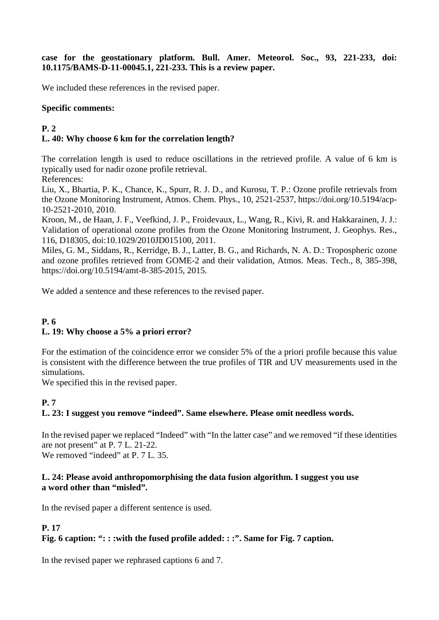**case for the geostationary platform. Bull. Amer. Meteorol. Soc., 93, 221-233, doi: 10.1175/BAMS-D-11-00045.1, 221-233. This is a review paper.**

We included these references in the revised paper.

#### **Specific comments:**

#### **P. 2 L. 40: Why choose 6 km for the correlation length?**

The correlation length is used to reduce oscillations in the retrieved profile. A value of 6 km is typically used for nadir ozone profile retrieval.

References:

Liu, X., Bhartia, P. K., Chance, K., Spurr, R. J. D., and Kurosu, T. P.: Ozone profile retrievals from the Ozone Monitoring Instrument, Atmos. Chem. Phys., 10, 2521-2537, https://doi.org/10.5194/acp-10-2521-2010, 2010.

Kroon, M., de Haan, J. F., Veefkind, J. P., Froidevaux, L., Wang, R., Kivi, R. and Hakkarainen, J. J.: Validation of operational ozone profiles from the Ozone Monitoring Instrument, J. Geophys. Res., 116, D18305, doi[:10.1029/2010JD015100, 2011.](http://dx.doi.org/10.1029/2010JD015100)

Miles, G. M., Siddans, R., Kerridge, B. J., Latter, B. G., and Richards, N. A. D.: Tropospheric ozone and ozone profiles retrieved from GOME-2 and their validation, Atmos. Meas. Tech., 8, 385-398, https://doi.org/10.5194/amt-8-385-2015, 2015.

We added a sentence and these references to the revised paper.

### **P. 6 L. 19: Why choose a 5% a priori error?**

For the estimation of the coincidence error we consider 5% of the a priori profile because this value is consistent with the difference between the true profiles of TIR and UV measurements used in the simulations.

We specified this in the revised paper.

### **P. 7**

### **L. 23: I suggest you remove "indeed". Same elsewhere. Please omit needless words.**

In the revised paper we replaced "Indeed" with "In the latter case" and we removed "if these identities are not present" at P. 7 L. 21-22.

We removed "indeed" at P. 7 L. 35.

#### **L. 24: Please avoid anthropomorphising the data fusion algorithm. I suggest you use a word other than "misled".**

In the revised paper a different sentence is used.

### **P. 17**

### **Fig. 6 caption: ": : :with the fused profile added: : :". Same for Fig. 7 caption.**

In the revised paper we rephrased captions 6 and 7.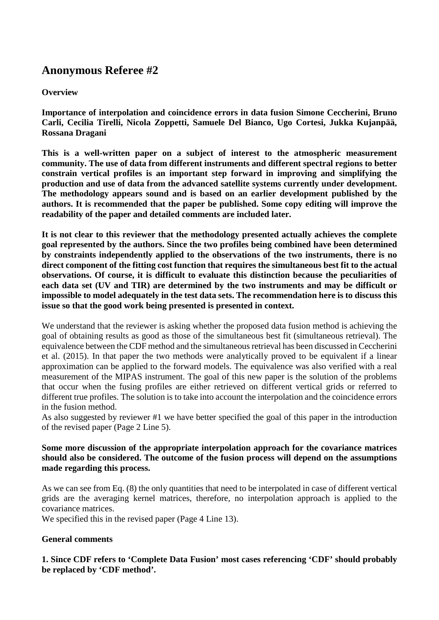# **Anonymous Referee #2**

### **Overview**

**Importance of interpolation and coincidence errors in data fusion Simone Ceccherini, Bruno Carli, Cecilia Tirelli, Nicola Zoppetti, Samuele Del Bianco, Ugo Cortesi, Jukka Kujanpää, Rossana Dragani**

**This is a well-written paper on a subject of interest to the atmospheric measurement community. The use of data from different instruments and different spectral regions to better constrain vertical profiles is an important step forward in improving and simplifying the production and use of data from the advanced satellite systems currently under development. The methodology appears sound and is based on an earlier development published by the authors. It is recommended that the paper be published. Some copy editing will improve the readability of the paper and detailed comments are included later.**

**It is not clear to this reviewer that the methodology presented actually achieves the complete goal represented by the authors. Since the two profiles being combined have been determined by constraints independently applied to the observations of the two instruments, there is no direct component of the fitting cost function that requires the simultaneous best fit to the actual observations. Of course, it is difficult to evaluate this distinction because the peculiarities of each data set (UV and TIR) are determined by the two instruments and may be difficult or impossible to model adequately in the test data sets. The recommendation here is to discuss this issue so that the good work being presented is presented in context.**

We understand that the reviewer is asking whether the proposed data fusion method is achieving the goal of obtaining results as good as those of the simultaneous best fit (simultaneous retrieval). The equivalence between the CDF method and the simultaneous retrieval has been discussed in Ceccherini et al. (2015). In that paper the two methods were analytically proved to be equivalent if a linear approximation can be applied to the forward models. The equivalence was also verified with a real measurement of the MIPAS instrument. The goal of this new paper is the solution of the problems that occur when the fusing profiles are either retrieved on different vertical grids or referred to different true profiles. The solution is to take into account the interpolation and the coincidence errors in the fusion method.

As also suggested by reviewer #1 we have better specified the goal of this paper in the introduction of the revised paper (Page 2 Line 5).

#### **Some more discussion of the appropriate interpolation approach for the covariance matrices should also be considered. The outcome of the fusion process will depend on the assumptions made regarding this process.**

As we can see from Eq. (8) the only quantities that need to be interpolated in case of different vertical grids are the averaging kernel matrices, therefore, no interpolation approach is applied to the covariance matrices.

We specified this in the revised paper (Page 4 Line 13).

### **General comments**

**1. Since CDF refers to 'Complete Data Fusion' most cases referencing 'CDF' should probably be replaced by 'CDF method'.**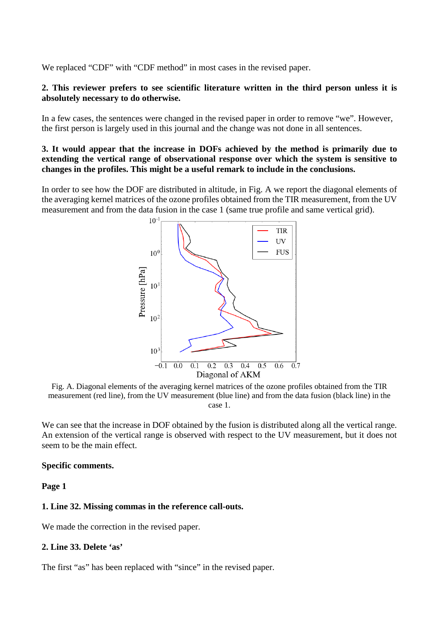We replaced "CDF" with "CDF method" in most cases in the revised paper.

#### **2. This reviewer prefers to see scientific literature written in the third person unless it is absolutely necessary to do otherwise.**

In a few cases, the sentences were changed in the revised paper in order to remove "we". However, the first person is largely used in this journal and the change was not done in all sentences.

#### **3. It would appear that the increase in DOFs achieved by the method is primarily due to extending the vertical range of observational response over which the system is sensitive to changes in the profiles. This might be a useful remark to include in the conclusions.**

In order to see how the DOF are distributed in altitude, in Fig. A we report the diagonal elements of the averaging kernel matrices of the ozone profiles obtained from the TIR measurement, from the UV measurement and from the data fusion in the case 1 (same true profile and same vertical grid).



Fig. A. Diagonal elements of the averaging kernel matrices of the ozone profiles obtained from the TIR measurement (red line), from the UV measurement (blue line) and from the data fusion (black line) in the case 1.

We can see that the increase in DOF obtained by the fusion is distributed along all the vertical range. An extension of the vertical range is observed with respect to the UV measurement, but it does not seem to be the main effect.

#### **Specific comments.**

**Page 1**

#### **1. Line 32. Missing commas in the reference call-outs.**

We made the correction in the revised paper.

#### **2. Line 33. Delete 'as'**

The first "as" has been replaced with "since" in the revised paper.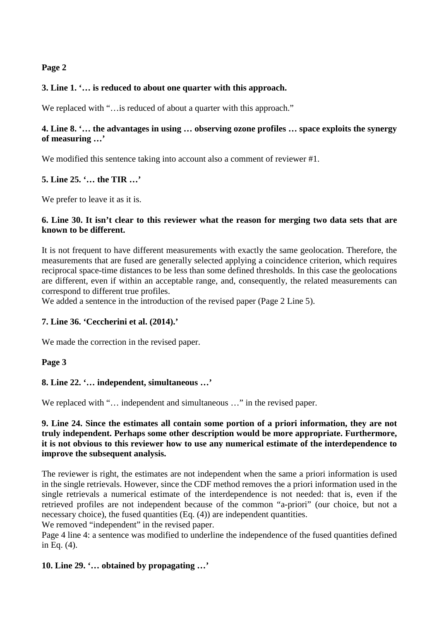### **Page 2**

### **3. Line 1. '… is reduced to about one quarter with this approach.**

We replaced with "... is reduced of about a quarter with this approach."

### **4. Line 8. '… the advantages in using … observing ozone profiles … space exploits the synergy of measuring …'**

We modified this sentence taking into account also a comment of reviewer #1.

### **5. Line 25. '… the TIR …'**

We prefer to leave it as it is.

#### **6. Line 30. It isn't clear to this reviewer what the reason for merging two data sets that are known to be different.**

It is not frequent to have different measurements with exactly the same geolocation. Therefore, the measurements that are fused are generally selected applying a coincidence criterion, which requires reciprocal space-time distances to be less than some defined thresholds. In this case the geolocations are different, even if within an acceptable range, and, consequently, the related measurements can correspond to different true profiles.

We added a sentence in the introduction of the revised paper (Page 2 Line 5).

### **7. Line 36. 'Ceccherini et al. (2014).'**

We made the correction in the revised paper.

### **Page 3**

### **8. Line 22. '… independent, simultaneous …'**

We replaced with "... independent and simultaneous ..." in the revised paper.

### **9. Line 24. Since the estimates all contain some portion of a priori information, they are not truly independent. Perhaps some other description would be more appropriate. Furthermore, it is not obvious to this reviewer how to use any numerical estimate of the interdependence to improve the subsequent analysis.**

The reviewer is right, the estimates are not independent when the same a priori information is used in the single retrievals. However, since the CDF method removes the a priori information used in the single retrievals a numerical estimate of the interdependence is not needed: that is, even if the retrieved profiles are not independent because of the common "a-priori" (our choice, but not a necessary choice), the fused quantities (Eq. (4)) are independent quantities.

We removed "independent" in the revised paper.

Page 4 line 4: a sentence was modified to underline the independence of the fused quantities defined in Eq. (4).

### **10. Line 29. '… obtained by propagating …'**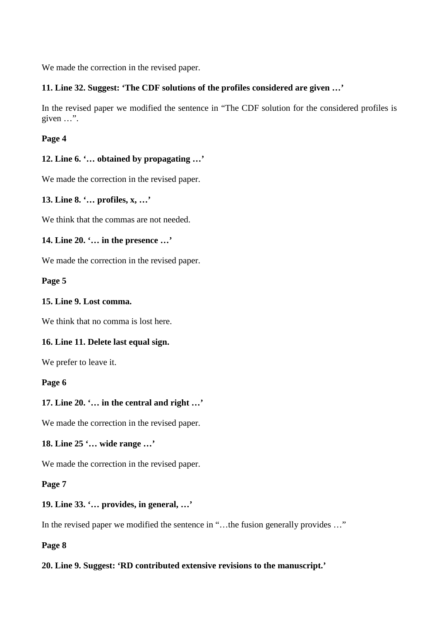We made the correction in the revised paper.

### **11. Line 32. Suggest: 'The CDF solutions of the profiles considered are given …'**

In the revised paper we modified the sentence in "The CDF solution for the considered profiles is given …".

**Page 4**

### **12. Line 6. '… obtained by propagating …'**

We made the correction in the revised paper.

**13. Line 8. '… profiles, x, …'**

We think that the commas are not needed.

### **14. Line 20. '… in the presence …'**

We made the correction in the revised paper.

**Page 5**

### **15. Line 9. Lost comma.**

We think that no comma is lost here.

### **16. Line 11. Delete last equal sign.**

We prefer to leave it.

#### **Page 6**

### **17. Line 20. '… in the central and right …'**

We made the correction in the revised paper.

**18. Line 25 '… wide range …'**

We made the correction in the revised paper.

### **Page 7**

### **19. Line 33. '… provides, in general, …'**

In the revised paper we modified the sentence in "...the fusion generally provides ..."

**Page 8**

### **20. Line 9. Suggest: 'RD contributed extensive revisions to the manuscript.'**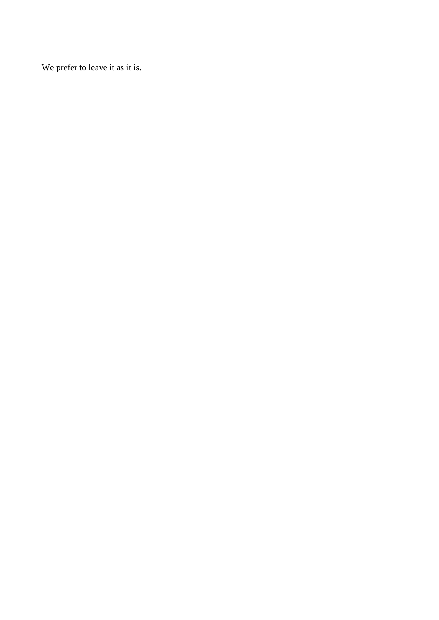We prefer to leave it as it is.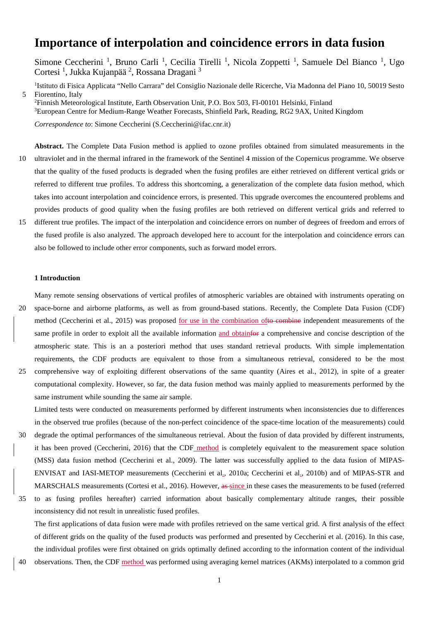# **Importance of interpolation and coincidence errors in data fusion**

Simone Ceccherini<sup>1</sup>, Bruno Carli<sup>1</sup>, Cecilia Tirelli<sup>1</sup>, Nicola Zoppetti<sup>1</sup>, Samuele Del Bianco<sup>1</sup>, Ugo Cortesi<sup>1</sup>, Jukka Kujanpää<sup>2</sup>, Rossana Dragani<sup>3</sup>

<sup>1</sup>Istituto di Fisica Applicata "Nello Carrara" del Consiglio Nazionale delle Ricerche, Via Madonna del Piano 10, 50019 Sesto 5 Fiorentino, Italy

2 Finnish Meteorological Institute, Earth Observation Unit, P.O. Box 503, FI-00101 Helsinki, Finland <sup>3</sup>European Centre for Medium-Range Weather Forecasts, Shinfield Park, Reading, RG2 9AX, United Kingdom

*Correspondence to*: Simone Ceccherini (S.Ceccherini@ifac.cnr.it)

- **Abstract.** The Complete Data Fusion method is applied to ozone profiles obtained from simulated measurements in the 10 ultraviolet and in the thermal infrared in the framework of the Sentinel 4 mission of the Copernicus programme. We observe that the quality of the fused products is degraded when the fusing profiles are either retrieved on different vertical grids or referred to different true profiles. To address this shortcoming, a generalization of the complete data fusion method, which takes into account interpolation and coincidence errors, is presented. This upgrade overcomes the encountered problems and provides products of good quality when the fusing profiles are both retrieved on different vertical grids and referred to
- 15 different true profiles. The impact of the interpolation and coincidence errors on number of degrees of freedom and errors of the fused profile is also analyzed. The approach developed here to account for the interpolation and coincidence errors can also be followed to include other error components, such as forward model errors.

#### **1 Introduction**

Many remote sensing observations of vertical profiles of atmospheric variables are obtained with instruments operating on

- 20 space-borne and airborne platforms, as well as from ground-based stations. Recently, the Complete Data Fusion (CDF) method (Ceccherini et al., 2015) was proposed for use in the combination ofto combine independent measurements of the same profile in order to exploit all the available information and obtainfor a comprehensive and concise description of the atmospheric state. This is an a posteriori method that uses standard retrieval products. With simple implementation requirements, the CDF products are equivalent to those from a simultaneous retrieval, considered to be the most
- 25 comprehensive way of exploiting different observations of the same quantity (Aires et al., 2012), in spite of a greater computational complexity. However, so far, the data fusion method was mainly applied to measurements performed by the same instrument while sounding the same air sample.

Limited tests were conducted on measurements performed by different instruments when inconsistencies due to differences in the observed true profiles (because of the non-perfect coincidence of the space-time location of the measurements) could

- 30 degrade the optimal performances of the simultaneous retrieval. About the fusion of data provided by different instruments, it has been proved (Ceccherini, 2016) that the CDF method is completely equivalent to the measurement space solution (MSS) data fusion method (Ceccherini et al., 2009). The latter was successfully applied to the data fusion of MIPAS-ENVISAT and IASI-METOP measurements (Ceccherini et al., 2010a; Ceccherini et al., 2010b) and of MIPAS-STR and MARSCHALS measurements (Cortesi et al., 2016). However, as-since in these cases the measurements to be fused (referred
- 35 to as fusing profiles hereafter) carried information about basically complementary altitude ranges, their possible inconsistency did not result in unrealistic fused profiles.

The first applications of data fusion were made with profiles retrieved on the same vertical grid. A first analysis of the effect of different grids on the quality of the fused products was performed and presented by Ceccherini et al. (2016). In this case, the individual profiles were first obtained on grids optimally defined according to the information content of the individual

40 observations. Then, the CDF method was performed using averaging kernel matrices (AKMs) interpolated to a common grid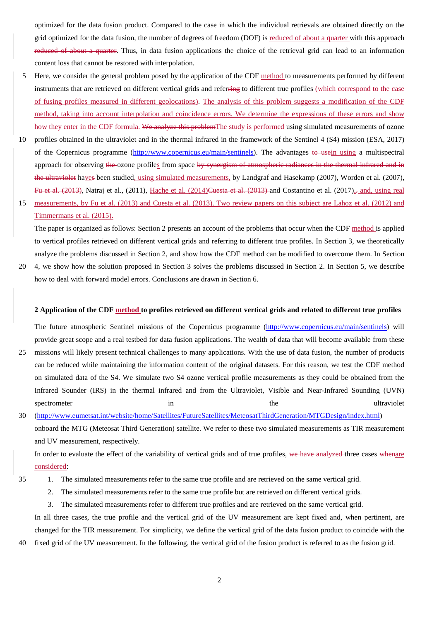optimized for the data fusion product. Compared to the case in which the individual retrievals are obtained directly on the grid optimized for the data fusion, the number of degrees of freedom (DOF) is reduced of about a quarter with this approach reduced of about a quarter. Thus, in data fusion applications the choice of the retrieval grid can lead to an information content loss that cannot be restored with interpolation.

- 5 Here, we consider the general problem posed by the application of the CDF method to measurements performed by different instruments that are retrieved on different vertical grids and referring to different true profiles (which correspond to the case of fusing profiles measured in different geolocations). The analysis of this problem suggests a modification of the CDF method, taking into account interpolation and coincidence errors. We determine the expressions of these errors and show how they enter in the CDF formula. We analyze this problemThe study is performed using simulated measurements of ozone
- 10 profiles obtained in the ultraviolet and in the thermal infrared in the framework of the Sentinel 4 (S4) mission (ESA, 2017) of the Copernicus programme [\(http://www.copernicus.eu/main/sentinels\)](http://www.copernicus.eu/main/sentinels). The advantages to usein using a multispectral approach for observing the ozone profiles from space by synergism of atmospheric radiances in the thermal infrared and in the ultraviolet haves been studied, using simulated measurements, by Landgraf and Hasekamp (2007), Worden et al. (2007), Fu et al.  $(2013)$ , Natraj et al.,  $(2011)$ , Hache et al.  $(2014)$ Cuesta et al.  $(2013)$ -and Costantino et al.  $(2017)$ , and, using real
- 15 measurements, by Fu et al. (2013) and Cuesta et al. (2013). Two review papers on this subject are Lahoz et al. (2012) and Timmermans et al. (2015).

The paper is organized as follows: Section 2 presents an account of the problems that occur when the CDF method is applied to vertical profiles retrieved on different vertical grids and referring to different true profiles. In Section 3, we theoretically analyze the problems discussed in Section 2, and show how the CDF method can be modified to overcome them. In Section

20 4, we show how the solution proposed in Section 3 solves the problems discussed in Section 2. In Section 5, we describe how to deal with forward model errors. Conclusions are drawn in Section 6.

#### **2 Application of the CDF method to profiles retrieved on different vertical grids and related to different true profiles**

The future atmospheric Sentinel missions of the Copernicus programme [\(http://www.copernicus.eu/main/sentinels\)](http://www.copernicus.eu/main/sentinels) will provide great scope and a real testbed for data fusion applications. The wealth of data that will become available from these

25 missions will likely present technical challenges to many applications. With the use of data fusion, the number of products can be reduced while maintaining the information content of the original datasets. For this reason, we test the CDF method on simulated data of the S4. We simulate two S4 ozone vertical profile measurements as they could be obtained from the Infrared Sounder (IRS) in the thermal infrared and from the Ultraviolet, Visible and Near-Infrared Sounding (UVN) spectrometer in the ultraviolet in the ultraviolet in the ultraviolet in the ultraviolet in the ultraviolet in the ultraviolet in the ultraviolet in the ultraviolet in the ultraviolet in the ultraviolet in the ultraviolet

30 [\(http://www.eumetsat.int/website/home/Satellites/FutureSatellites/MeteosatThirdGeneration/MTGDesign/index.html\)](http://www.eumetsat.int/website/home/Satellites/FutureSatellites/MeteosatThirdGeneration/MTGDesign/index.html) onboard the MTG (Meteosat Third Generation) satellite. We refer to these two simulated measurements as TIR measurement and UV measurement, respectively.

In order to evaluate the effect of the variability of vertical grids and of true profiles, we have analyzed three cases whenare considered:

- 
- 35 1. The simulated measurements refer to the same true profile and are retrieved on the same vertical grid.
	- 2. The simulated measurements refer to the same true profile but are retrieved on different vertical grids.
	- 3. The simulated measurements refer to different true profiles and are retrieved on the same vertical grid.

In all three cases, the true profile and the vertical grid of the UV measurement are kept fixed and, when pertinent, are changed for the TIR measurement. For simplicity, we define the vertical grid of the data fusion product to coincide with the 40 fixed grid of the UV measurement. In the following, the vertical grid of the fusion product is referred to as the fusion grid.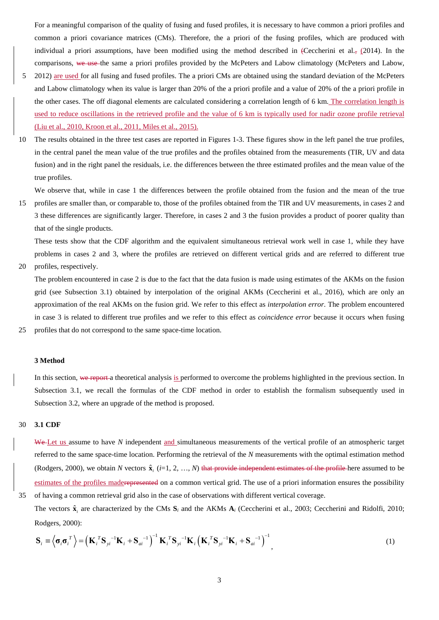For a meaningful comparison of the quality of fusing and fused profiles, it is necessary to have common a priori profiles and common a priori covariance matrices (CMs). Therefore, the a priori of the fusing profiles, which are produced with individual a priori assumptions, have been modified using the method described in (Ceccherini et al.,  $(2014)$ ). In the comparisons, we use the same a priori profiles provided by the McPeters and Labow climatology (McPeters and Labow,

- 5 2012) are used for all fusing and fused profiles. The a priori CMs are obtained using the standard deviation of the McPeters and Labow climatology when its value is larger than 20% of the a priori profile and a value of 20% of the a priori profile in the other cases. The off diagonal elements are calculated considering a correlation length of 6 km. The correlation length is used to reduce oscillations in the retrieved profile and the value of 6 km is typically used for nadir ozone profile retrieval (Liu et al., 2010, Kroon et al., 2011, Miles et al., 2015).
- 10 The results obtained in the three test cases are reported in Figures 1-3. These figures show in the left panel the true profiles, in the central panel the mean value of the true profiles and the profiles obtained from the measurements (TIR, UV and data fusion) and in the right panel the residuals, i.e. the differences between the three estimated profiles and the mean value of the true profiles.

We observe that, while in case 1 the differences between the profile obtained from the fusion and the mean of the true

15 profiles are smaller than, or comparable to, those of the profiles obtained from the TIR and UV measurements, in cases 2 and 3 these differences are significantly larger. Therefore, in cases 2 and 3 the fusion provides a product of poorer quality than that of the single products.

These tests show that the CDF algorithm and the equivalent simultaneous retrieval work well in case 1, while they have problems in cases 2 and 3, where the profiles are retrieved on different vertical grids and are referred to different true

20 profiles, respectively.

The problem encountered in case 2 is due to the fact that the data fusion is made using estimates of the AKMs on the fusion grid (see Subsection 3.1) obtained by interpolation of the original AKMs (Ceccherini et al., 2016), which are only an approximation of the real AKMs on the fusion grid. We refer to this effect as *interpolation error*. The problem encountered in case 3 is related to different true profiles and we refer to this effect as *coincidence error* because it occurs when fusing 25 profiles that do not correspond to the same space-time location.

#### **3 Method**

In this section, we report a theoretical analysis is performed to overcome the problems highlighted in the previous section. In Subsection 3.1, we recall the formulas of the CDF method in order to establish the formalism subsequently used in Subsection 3.2, where an upgrade of the method is proposed.

#### 30 **3.1 CDF**

We-Let us assume to have *N* independent and simultaneous measurements of the vertical profile of an atmospheric target referred to the same space-time location. Performing the retrieval of the *N* measurements with the optimal estimation method (Rodgers, 2000), we obtain *N* vectors  $\hat{\mathbf{x}}_i$  (*i*=1, 2, …, *N*) that provide independent estimates of the profile here assumed to be estimates of the profiles maderepresented on a common vertical grid. The use of a priori information ensures the possibility 35 of having a common retrieval grid also in the case of observations with different vertical coverage.

The vectors  $\hat{\mathbf{x}}_i$  are characterized by the CMs  $\mathbf{S}_i$  and the AKMs  $\mathbf{A}_i$  (Ceccherini et al., 2003; Ceccherini and Ridolfi, 2010; Rodgers, 2000):

$$
\mathbf{S}_{i} \equiv \left\langle \boldsymbol{\sigma}_{i} \boldsymbol{\sigma}_{i}^{T} \right\rangle = \left(\mathbf{K}_{i}^{T} \mathbf{S}_{yi}^{-1} \mathbf{K}_{i} + \mathbf{S}_{ai}^{-1}\right)^{-1} \mathbf{K}_{i}^{T} \mathbf{S}_{yi}^{-1} \mathbf{K}_{i} \left(\mathbf{K}_{i}^{T} \mathbf{S}_{yi}^{-1} \mathbf{K}_{i} + \mathbf{S}_{ai}^{-1}\right)^{-1}, \tag{1}
$$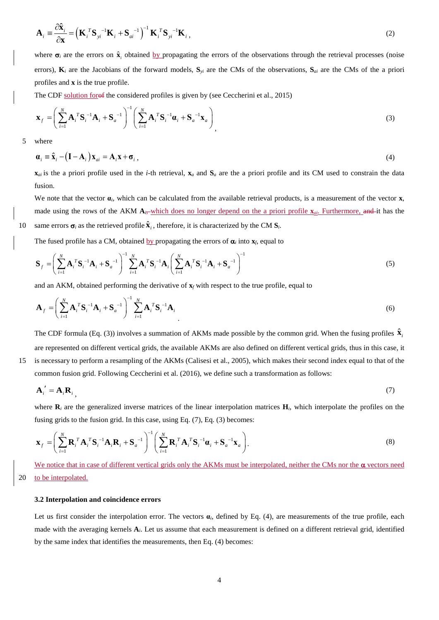$$
\mathbf{A}_{i} = \frac{\partial \hat{\mathbf{x}}_{i}}{\partial \mathbf{x}} = \left(\mathbf{K}_{i}^{T} \mathbf{S}_{yi}^{-1} \mathbf{K}_{i} + \mathbf{S}_{ai}^{-1}\right)^{-1} \mathbf{K}_{i}^{T} \mathbf{S}_{yi}^{-1} \mathbf{K}_{i},
$$
\n(2)

where  $\sigma_i$  are the errors on  $\hat{\mathbf{x}}_i$  obtained by propagating the errors of the observations through the retrieval processes (noise errors),  $\mathbf{K}_i$  are the Jacobians of the forward models,  $\mathbf{S}_{yi}$  are the CMs of the observations,  $\mathbf{S}_{qi}$  are the CMs of the a priori profiles and **x** is the true profile.

The CDF solution for of the considered profiles is given by (see Ceccherini et al., 2015)

$$
\mathbf{x}_{f} = \left(\sum_{i=1}^{N} \mathbf{A}_{i}^{T} \mathbf{S}_{i}^{-1} \mathbf{A}_{i} + \mathbf{S}_{a}^{-1}\right)^{-1} \left(\sum_{i=1}^{N} \mathbf{A}_{i}^{T} \mathbf{S}_{i}^{-1} \mathbf{a}_{i} + \mathbf{S}_{a}^{-1} \mathbf{x}_{a}\right)_{1}
$$
\n(3)

5 where

 $\mathbf{a}_i \equiv \hat{\mathbf{x}}_i - (\mathbf{I} - \mathbf{A}_i) \mathbf{x}_{ni} = \mathbf{A}_i \mathbf{x} + \mathbf{\sigma}_i$ , (4)

 $\mathbf{x}_{ai}$  is the a priori profile used in the *i*-th retrieval,  $\mathbf{x}_a$  and  $\mathbf{S}_a$  are the a priori profile and its CM used to constrain the data fusion.

We note that the vector  $\alpha_i$ , which can be calculated from the available retrieval products, is a measurement of the vector **x**, made using the rows of the AKM  $A_i$ -which does no longer depend on the a priori profile  $\mathbf{x}_{ai}$ . Furthermore, and it has the 10 same errors  $\sigma_i$  as the retrieved profile  $\hat{\mathbf{x}}_i$ , therefore, it is characterized by the CM  $\mathbf{S}_i$ .

The fused profile has a CM, obtained by propagating the errors of  $\alpha$ <sup>*i*</sup> into  $\mathbf{x}_f$ , equal to

$$
\mathbf{S}_{f} = \left(\sum_{i=1}^{N} \mathbf{A}_{i}^{T} \mathbf{S}_{i}^{-1} \mathbf{A}_{i} + \mathbf{S}_{a}^{-1}\right)^{-1} \sum_{i=1}^{N} \mathbf{A}_{i}^{T} \mathbf{S}_{i}^{-1} \mathbf{A}_{i} \left(\sum_{i=1}^{N} \mathbf{A}_{i}^{T} \mathbf{S}_{i}^{-1} \mathbf{A}_{i} + \mathbf{S}_{a}^{-1}\right)^{-1}
$$
(5)

and an AKM, obtained performing the derivative of  $\mathbf{x}_f$  with respect to the true profile, equal to

$$
\mathbf{A}_{f} = \left(\sum_{i=1}^{N} \mathbf{A}_{i}^{T} \mathbf{S}_{i}^{-1} \mathbf{A}_{i} + \mathbf{S}_{a}^{-1}\right)^{-1} \sum_{i=1}^{N} \mathbf{A}_{i}^{T} \mathbf{S}_{i}^{-1} \mathbf{A}_{i}
$$
\n(6)

The CDF formula (Eq. (3)) involves a summation of AKMs made possible by the common grid. When the fusing profiles  $\hat{\mathbf{x}}_i$ are represented on different vertical grids, the available AKMs are also defined on different vertical grids, thus in this case, it 15 is necessary to perform a resampling of the AKMs (Calisesi et al., 2005), which makes their second index equal to that of the common fusion grid. Following Ceccherini et al. (2016), we define such a transformation as follows:

$$
\mathbf{A}'_i = \mathbf{A}_i \mathbf{R}_i \tag{7}
$$

where  $\mathbf{R}_i$  are the generalized inverse matrices of the linear interpolation matrices  $\mathbf{H}_i$ , which interpolate the profiles on the fusing grids to the fusion grid. In this case, using Eq. (7), Eq. (3) becomes:

$$
\mathbf{x}_{f} = \left(\sum_{i=1}^{N} \mathbf{R}_{i}^{T} \mathbf{A}_{i}^{T} \mathbf{S}_{i}^{-1} \mathbf{A}_{i} \mathbf{R}_{i} + \mathbf{S}_{a}^{-1}\right)^{-1} \left(\sum_{i=1}^{N} \mathbf{R}_{i}^{T} \mathbf{A}_{i}^{T} \mathbf{S}_{i}^{-1} \boldsymbol{\alpha}_{i} + \mathbf{S}_{a}^{-1} \mathbf{x}_{a}\right).
$$
\n(8)

We notice that in case of different vertical grids only the AKMs must be interpolated, neither the CMs nor the  $\alpha$  vectors need 20 to be interpolated.

#### **3.2 Interpolation and coincidence errors**

Let us first consider the interpolation error. The vectors  $\alpha_i$ , defined by Eq. (4), are measurements of the true profile, each made with the averaging kernels **A***i*. Let us assume that each measurement is defined on a different retrieval grid, identified by the same index that identifies the measurements, then Eq. (4) becomes: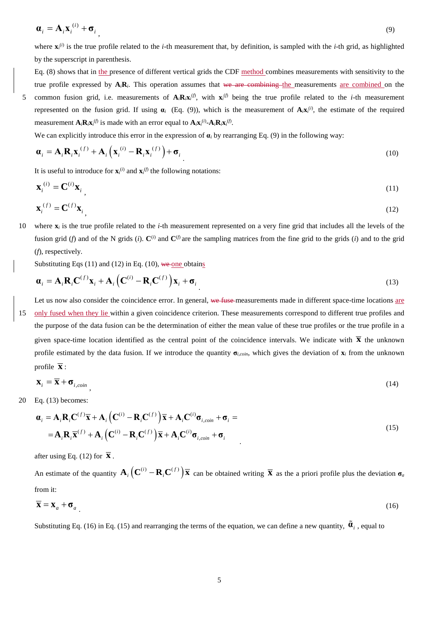$$
\mathbf{a}_i = \mathbf{A}_i \mathbf{x}_i^{(i)} + \mathbf{\sigma}_i \tag{9}
$$

where  $\mathbf{x}_i^{(i)}$  is the true profile related to the *i*-th measurement that, by definition, is sampled with the *i*-th grid, as highlighted by the superscript in parenthesis.

Eq. (8) shows that in the presence of different vertical grids the CDF method combines measurements with sensitivity to the true profile expressed by  $A_iR_i$ . This operation assumes that we are combining the measurements are combined on the 5 common fusion grid, i.e. measurements of  $A_iR_iX_i^{(j)}$ , with  $X_i^{(j)}$  being the true profile related to the *i*-th measurement represented on the fusion grid. If using  $\alpha_i$  (Eq. (9)), which is the measurement of  $A_i x_i^{(i)}$ , the estimate of the required measurement  $\mathbf{A}_i \mathbf{R}_i \mathbf{x}_i^{(f)}$  is made with an error equal to  $\mathbf{A}_i \mathbf{x}_i^{(i)}$ - $\mathbf{A}_i \mathbf{R}_i \mathbf{x}_i^{(f)}$ .

We can explicitly introduce this error in the expression of  $\alpha_i$  by rearranging Eq. (9) in the following way:

$$
\boldsymbol{\alpha}_{i} = \mathbf{A}_{i} \mathbf{R}_{i} \mathbf{x}_{i}^{(f)} + \mathbf{A}_{i} \left( \mathbf{x}_{i}^{(i)} - \mathbf{R}_{i} \mathbf{x}_{i}^{(f)} \right) + \boldsymbol{\sigma}_{i}
$$
\n(10)

It is useful to introduce for  $\mathbf{x}_i^{(i)}$  and  $\mathbf{x}_i^{(f)}$  the following notations:

$$
\mathbf{x}_i^{(i)} = \mathbf{C}^{(i)} \mathbf{x}_i \tag{11}
$$

$$
\mathbf{x}_{i}^{(f)} = \mathbf{C}^{(f)} \mathbf{x}_{i} \tag{12}
$$

10 where **x***<sup>i</sup>* is the true profile related to the *i*-th measurement represented on a very fine grid that includes all the levels of the fusion grid (*f*) and of the N grids (*i*).  $\mathbf{C}^{(i)}$  and  $\mathbf{C}^{(f)}$  are the sampling matrices from the fine grid to the grids (*i*) and to the grid (*f*), respectively.

Substituting Eqs  $(11)$  and  $(12)$  in Eq.  $(10)$ , we one obtains

$$
\boldsymbol{\alpha}_i = \mathbf{A}_i \mathbf{R}_i \mathbf{C}^{(f)} \mathbf{x}_i + \mathbf{A}_i \left( \mathbf{C}^{(i)} - \mathbf{R}_i \mathbf{C}^{(f)} \right) \mathbf{x}_i + \boldsymbol{\sigma}_i
$$
\n(13)

Let us now also consider the coincidence error. In general, we fuse measurements made in different space-time locations are 15 only fused when they lie within a given coincidence criterion. These measurements correspond to different true profiles and the purpose of the data fusion can be the determination of either the mean value of these true profiles or the true profile in a given space-time location identified as the central point of the coincidence intervals. We indicate with  $\bar{x}$  the unknown profile estimated by the data fusion. If we introduce the quantity **σ***i,coin*, which gives the deviation of **x***<sup>i</sup>* from the unknown profile  $\overline{\mathbf{x}}$  :

$$
\mathbf{x}_{i} = \overline{\mathbf{x}} + \boldsymbol{\sigma}_{i, coin} \tag{14}
$$

20 Eq. (13) becomes:

$$
\mathbf{a}_{i} = \mathbf{A}_{i} \mathbf{R}_{i} \mathbf{C}^{(f)} \overline{\mathbf{x}} + \mathbf{A}_{i} \left( \mathbf{C}^{(i)} - \mathbf{R}_{i} \mathbf{C}^{(f)} \right) \overline{\mathbf{x}} + \mathbf{A}_{i} \mathbf{C}^{(i)} \mathbf{\sigma}_{i, coin} + \mathbf{\sigma}_{i} =
$$
\n
$$
= \mathbf{A}_{i} \mathbf{R}_{i} \overline{\mathbf{x}}^{(f)} + \mathbf{A}_{i} \left( \mathbf{C}^{(i)} - \mathbf{R}_{i} \mathbf{C}^{(f)} \right) \overline{\mathbf{x}} + \mathbf{A}_{i} \mathbf{C}^{(i)} \mathbf{\sigma}_{i, coin} + \mathbf{\sigma}_{i}
$$
\n(15)

after using Eq. (12) for  $\bar{\mathbf{x}}$ .

An estimate of the quantity  $\mathbf{A}_i \left( \mathbf{C}^{(i)} - \mathbf{R}_i \mathbf{C}^{(f)} \right) \overline{\mathbf{x}}$  can be obtained writing  $\overline{\mathbf{x}}$  as the a priori profile plus the deviation  $\sigma_a$ from it:

$$
\overline{\mathbf{X}} = \mathbf{X}_a + \mathbf{\sigma}_a \tag{16}
$$

Substituting Eq. (16) in Eq. (15) and rearranging the terms of the equation, we can define a new quantity,  $\tilde{\mathbf{a}}_i$ , equal to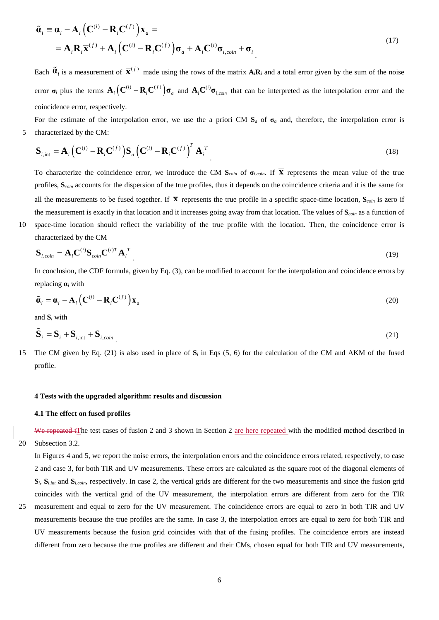$$
\tilde{\boldsymbol{\alpha}}_i = \boldsymbol{\alpha}_i - \mathbf{A}_i \left( \mathbf{C}^{(i)} - \mathbf{R}_i \mathbf{C}^{(f)} \right) \mathbf{x}_a =
$$
\n
$$
= \mathbf{A}_i \mathbf{R}_i \overline{\mathbf{x}}^{(f)} + \mathbf{A}_i \left( \mathbf{C}^{(i)} - \mathbf{R}_i \mathbf{C}^{(f)} \right) \boldsymbol{\sigma}_a + \mathbf{A}_i \mathbf{C}^{(i)} \boldsymbol{\sigma}_{i, coin} + \boldsymbol{\sigma}_i
$$
\n(17)

Each  $\tilde{\mathbf{a}}_i$  is a measurement of  $\overline{\mathbf{x}}^{(f)}$  made using the rows of the matrix  $\mathbf{A}_i \mathbf{R}_i$  and a total error given by the sum of the noise error  $\sigma_i$  plus the terms  $A_i (C^{(i)} - R_i C^{(f)}) \sigma_a$  and  $A_i C^{(i)} \sigma_{i, coin}$  that can be interpreted as the interpolation error and the coincidence error, respectively.

For the estimate of the interpolation error, we use the a priori CM  $S_a$  of  $\sigma_a$  and, therefore, the interpolation error is 5 characterized by the CM:

$$
\mathbf{S}_{i,\text{int}} = \mathbf{A}_i \left( \mathbf{C}^{(i)} - \mathbf{R}_i \mathbf{C}^{(f)} \right) \mathbf{S}_a \left( \mathbf{C}^{(i)} - \mathbf{R}_i \mathbf{C}^{(f)} \right)^T \mathbf{A}_i^T
$$
\n(18)

To characterize the coincidence error, we introduce the CM  $S_{coin}$  of  $\sigma_{i, coin}$ . If  $\overline{X}$  represents the mean value of the true profiles, **S***coin* accounts for the dispersion of the true profiles, thus it depends on the coincidence criteria and it is the same for all the measurements to be fused together. If  $\bar{x}$  represents the true profile in a specific space-time location,  $S_{\text{coin}}$  is zero if the measurement is exactly in that location and it increases going away from that location. The values of **S***coin* as a function of 10 space-time location should reflect the variability of the true profile with the location. Then, the coincidence error is

$$
\mathbf{S}_{i, coin} = \mathbf{A}_i \mathbf{C}^{(i)} \mathbf{S}_{coin} \mathbf{C}^{(i)T} \mathbf{A}_i^T
$$
 (19)

In conclusion, the CDF formula, given by Eq. (3), can be modified to account for the interpolation and coincidence errors by replacing **α***<sup>i</sup>* with

$$
\tilde{\boldsymbol{a}}_i = \boldsymbol{a}_i - \mathbf{A}_i \left( \mathbf{C}^{(i)} - \mathbf{R}_i \mathbf{C}^{(f)} \right) \mathbf{x}_a
$$
\n(20)

and **S***<sup>i</sup>* with

characterized by the CM

$$
\tilde{\mathbf{S}}_i = \mathbf{S}_i + \mathbf{S}_{i, \text{int}} + \mathbf{S}_{i, \text{coin}} \tag{21}
$$

15 The CM given by Eq. (21) is also used in place of  $S_i$  in Eqs (5, 6) for the calculation of the CM and AKM of the fused profile.

#### **4 Tests with the upgraded algorithm: results and discussion**

#### **4.1 The effect on fused profiles**

We repeated tThe test cases of fusion 2 and 3 shown in Section 2 are here repeated with the modified method described in 20 Subsection 3.2.

In Figures 4 and 5, we report the noise errors, the interpolation errors and the coincidence errors related, respectively, to case 2 and case 3, for both TIR and UV measurements. These errors are calculated as the square root of the diagonal elements of  $S_i$ ,  $S_{i, int}$  and  $S_{i, coin}$ , respectively. In case 2, the vertical grids are different for the two measurements and since the fusion grid coincides with the vertical grid of the UV measurement, the interpolation errors are different from zero for the TIR

25 measurement and equal to zero for the UV measurement. The coincidence errors are equal to zero in both TIR and UV measurements because the true profiles are the same. In case 3, the interpolation errors are equal to zero for both TIR and UV measurements because the fusion grid coincides with that of the fusing profiles. The coincidence errors are instead different from zero because the true profiles are different and their CMs, chosen equal for both TIR and UV measurements,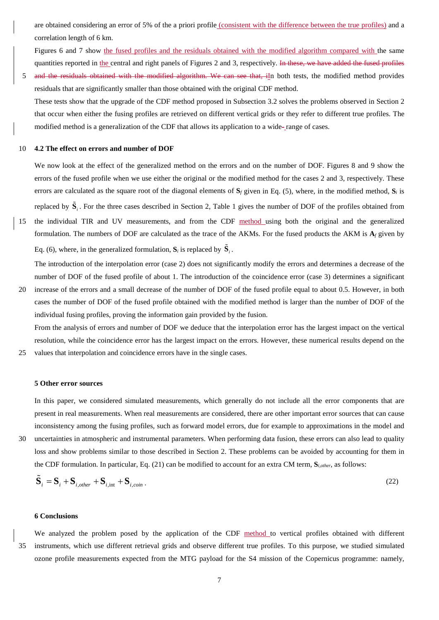are obtained considering an error of 5% of the a priori profile (consistent with the difference between the true profiles) and a correlation length of 6 km.

Figures 6 and 7 show the fused profiles and the residuals obtained with the modified algorithm compared with the same quantities reported in the central and right panels of Figures 2 and 3, respectively. In these, we have added the fused profiles 5 and the residuals obtained with the modified algorithm. We can see that, iIn both tests, the modified method provides

residuals that are significantly smaller than those obtained with the original CDF method. These tests show that the upgrade of the CDF method proposed in Subsection 3.2 solves the problems observed in Section 2 that occur when either the fusing profiles are retrieved on different vertical grids or they refer to different true profiles. The

modified method is a generalization of the CDF that allows its application to a wide- range of cases.

#### 10 **4.2 The effect on errors and number of DOF**

We now look at the effect of the generalized method on the errors and on the number of DOF. Figures 8 and 9 show the errors of the fused profile when we use either the original or the modified method for the cases 2 and 3, respectively. These errors are calculated as the square root of the diagonal elements of  $S_f$  given in Eq. (5), where, in the modified method,  $S_f$  is

replaced by  $\tilde{\bf S}_i$ . For the three cases described in Section 2, Table 1 gives the number of DOF of the profiles obtained from 15 the individual TIR and UV measurements, and from the CDF method using both the original and the generalized formulation. The numbers of DOF are calculated as the trace of the AKMs. For the fused products the AKM is  $A_f$  given by Eq. (6), where, in the generalized formulation,  $S_i$  is replaced by  $\tilde{S}_i$ .

The introduction of the interpolation error (case 2) does not significantly modify the errors and determines a decrease of the number of DOF of the fused profile of about 1. The introduction of the coincidence error (case 3) determines a significant

20 increase of the errors and a small decrease of the number of DOF of the fused profile equal to about 0.5. However, in both cases the number of DOF of the fused profile obtained with the modified method is larger than the number of DOF of the individual fusing profiles, proving the information gain provided by the fusion.

From the analysis of errors and number of DOF we deduce that the interpolation error has the largest impact on the vertical resolution, while the coincidence error has the largest impact on the errors. However, these numerical results depend on the 25 values that interpolation and coincidence errors have in the single cases.

#### **5 Other error sources**

In this paper, we considered simulated measurements, which generally do not include all the error components that are present in real measurements. When real measurements are considered, there are other important error sources that can cause inconsistency among the fusing profiles, such as forward model errors, due for example to approximations in the model and

30 uncertainties in atmospheric and instrumental parameters. When performing data fusion, these errors can also lead to quality loss and show problems similar to those described in Section 2. These problems can be avoided by accounting for them in the CDF formulation. In particular, Eq. (21) can be modified to account for an extra CM term, **S***i,other*, as follows:

$$
\tilde{\mathbf{S}}_i = \mathbf{S}_i + \mathbf{S}_{i,other} + \mathbf{S}_{i,int} + \mathbf{S}_{i,coin} \tag{22}
$$

#### **6 Conclusions**

We analyzed the problem posed by the application of the CDF method to vertical profiles obtained with different 35 instruments, which use different retrieval grids and observe different true profiles. To this purpose, we studied simulated ozone profile measurements expected from the MTG payload for the S4 mission of the Copernicus programme: namely,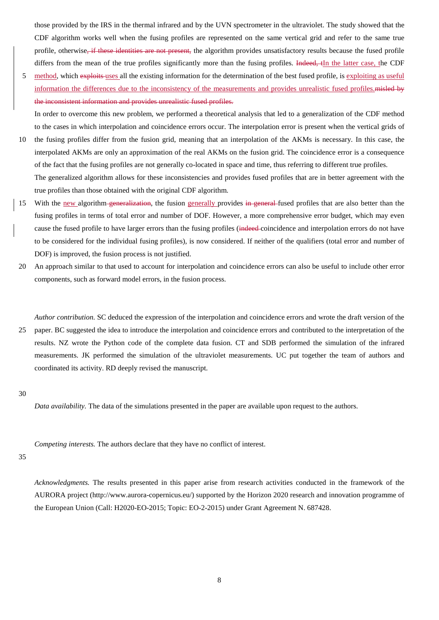those provided by the IRS in the thermal infrared and by the UVN spectrometer in the ultraviolet. The study showed that the CDF algorithm works well when the fusing profiles are represented on the same vertical grid and refer to the same true profile, otherwise<del>, if these identities are not present,</del> the algorithm provides unsatisfactory results because the fused profile differs from the mean of the true profiles significantly more than the fusing profiles. Indeed,  $\epsilon$ In the latter case, the CDF

5 method, which exploits uses all the existing information for the determination of the best fused profile, is exploiting as useful information the differences due to the inconsistency of the measurements and provides unrealistic fused profiles.misled by the inconsistent information and provides unrealistic fused profiles.

In order to overcome this new problem, we performed a theoretical analysis that led to a generalization of the CDF method to the cases in which interpolation and coincidence errors occur. The interpolation error is present when the vertical grids of 10 the fusing profiles differ from the fusion grid, meaning that an interpolation of the AKMs is necessary. In this case, the

- interpolated AKMs are only an approximation of the real AKMs on the fusion grid. The coincidence error is a consequence of the fact that the fusing profiles are not generally co-located in space and time, thus referring to different true profiles. The generalized algorithm allows for these inconsistencies and provides fused profiles that are in better agreement with the true profiles than those obtained with the original CDF algorithm.
- 15 With the new algorithm generalization, the fusion generally provides in general fused profiles that are also better than the fusing profiles in terms of total error and number of DOF. However, a more comprehensive error budget, which may even cause the fused profile to have larger errors than the fusing profiles (indeed coincidence and interpolation errors do not have to be considered for the individual fusing profiles), is now considered. If neither of the qualifiers (total error and number of DOF) is improved, the fusion process is not justified.
- 20 An approach similar to that used to account for interpolation and coincidence errors can also be useful to include other error components, such as forward model errors, in the fusion process.

*Author contribution.* SC deduced the expression of the interpolation and coincidence errors and wrote the draft version of the 25 paper. BC suggested the idea to introduce the interpolation and coincidence errors and contributed to the interpretation of the results. NZ wrote the Python code of the complete data fusion. CT and SDB performed the simulation of the infrared measurements. JK performed the simulation of the ultraviolet measurements. UC put together the team of authors and coordinated its activity. RD deeply revised the manuscript.

30

*Data availability.* The data of the simulations presented in the paper are available upon request to the authors.

*Competing interests.* The authors declare that they have no conflict of interest.

#### 35

*Acknowledgments.* The results presented in this paper arise from research activities conducted in the framework of the AURORA project [\(http://www.aurora-copernicus.eu/\)](http://www.aurora-copernicus.eu/) supported by the Horizon 2020 research and innovation programme of the European Union (Call: H2020-EO-2015; Topic: EO-2-2015) under Grant Agreement N. 687428.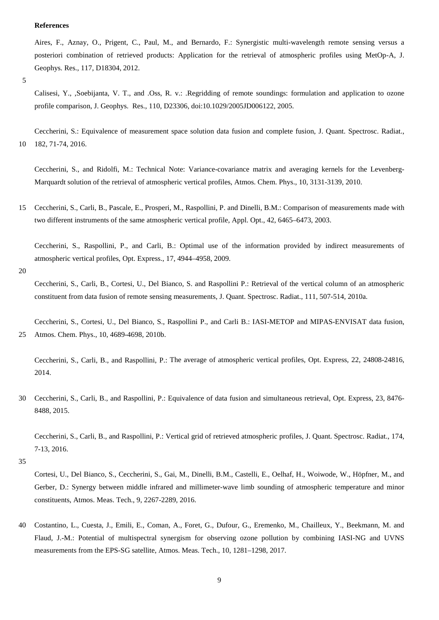#### **References**

Aires, F., Aznay, O., Prigent, C., Paul, M., and Bernardo, F.: Synergistic multi-wavelength remote sensing versus a posteriori combination of retrieved products: Application for the retrieval of atmospheric profiles using MetOp-A, J. Geophys. Res., 117, D18304, 2012.

5

Calisesi, Y., ,Soebijanta, V. T., and .Oss, R. v.: .Regridding of remote soundings: formulation and application to ozone profile comparison, J. Geophys. Res., 110, D23306, doi:10.1029/2005JD006122, 2005.

Ceccherini, S.: Equivalence of measurement space solution data fusion and complete fusion, J. Quant. Spectrosc. Radiat., 10 182, 71-74, 2016.

Ceccherini, S., and Ridolfi, M.: Technical Note: Variance-covariance matrix and averaging kernels for the Levenberg-Marquardt solution of the retrieval of atmospheric vertical profiles, Atmos. Chem. Phys., 10, 3131-3139, 2010.

15 Ceccherini, S., Carli, B., Pascale, E., Prosperi, M., Raspollini, P. and Dinelli, B.M.: Comparison of measurements made with two different instruments of the same atmospheric vertical profile, Appl. Opt., 42, 6465–6473, 2003.

Ceccherini, S., Raspollini, P., and Carli, B.: Optimal use of the information provided by indirect measurements of atmospheric vertical profiles, Opt. Express., 17, 4944–4958, 2009.

20

Ceccherini, S., Carli, B., Cortesi, U., Del Bianco, S. and Raspollini P.: Retrieval of the vertical column of an atmospheric constituent from data fusion of remote sensing measurements, J. Quant. Spectrosc. Radiat., 111, 507-514, 2010a.

Ceccherini, S., Carli, B., and Raspollini, P.: The average of atmospheric vertical profiles, Opt. Express, 22, 24808-24816, 2014.

30 Ceccherini, S., Carli, B., and Raspollini, P.: Equivalence of data fusion and simultaneous retrieval, Opt. Express, 23, 8476- 8488, 2015.

Ceccherini, S., Carli, B., and Raspollini, P.: Vertical grid of retrieved atmospheric profiles, J. Quant. Spectrosc. Radiat., 174, 7-13, 2016.

35

Cortesi, U., Del Bianco, S., Ceccherini, S., Gai, M., Dinelli, B.M., Castelli, E., Oelhaf, H., Woiwode, W., Höpfner, M., and Gerber, D.: Synergy between middle infrared and millimeter-wave limb sounding of atmospheric temperature and minor constituents, Atmos. Meas. Tech., 9, 2267-2289, 2016.

40 Costantino, L., Cuesta, J., Emili, E., Coman, A., Foret, G., Dufour, G., Eremenko, M., Chailleux, Y., Beekmann, M. and Flaud, J.-M.: Potential of multispectral synergism for observing ozone pollution by combining IASI-NG and UVNS measurements from the EPS-SG satellite, Atmos. Meas. Tech., 10, 1281–1298, 2017.

Ceccherini, S., Cortesi, U., Del Bianco, S., Raspollini P., and Carli B.: IASI-METOP and MIPAS-ENVISAT data fusion, 25 Atmos. Chem. Phys., 10, 4689-4698, 2010b.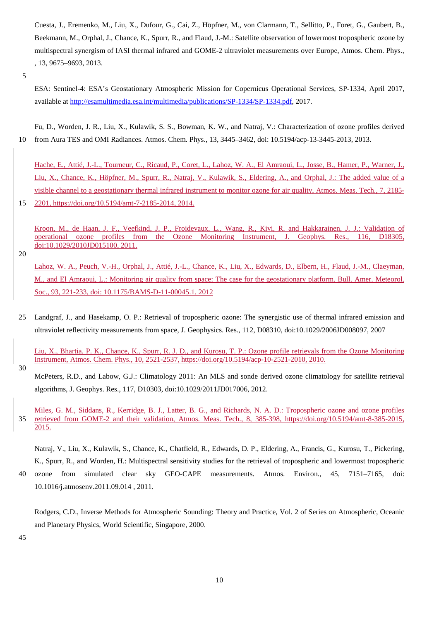Cuesta, J., Eremenko, M., Liu, X., Dufour, G., Cai, Z., Höpfner, M., von Clarmann, T., Sellitto, P., Foret, G., Gaubert, B., Beekmann, M., Orphal, J., Chance, K., Spurr, R., and Flaud, J.-M.: Satellite observation of lowermost tropospheric ozone by multispectral synergism of IASI thermal infrared and GOME-2 ultraviolet measurements over Europe, Atmos. Chem. Phys., , 13, 9675–9693, 2013.

ESA: Sentinel-4: ESA's Geostationary Atmospheric Mission for Copernicus Operational Services, SP-1334, April 2017, available at [http://esamultimedia.esa.int/multimedia/publications/SP-1334/SP-1334.pdf,](http://esamultimedia.esa.int/multimedia/publications/SP-1334/SP-1334.pdf) 2017.

Fu, D., Worden, J. R., Liu, X., Kulawik, S. S., Bowman, K. W., and Natraj, V.: Characterization of ozone profiles derived 10 from Aura TES and OMI Radiances. Atmos. Chem. Phys., 13, 3445–3462, doi: 10.5194/acp-13-3445-2013, 2013.

Hache, E., Attié, J.-L., Tourneur, C., Ricaud, P., Coret, L., Lahoz, W. A., El Amraoui, L., Josse, B., Hamer, P., Warner, J., Liu, X., Chance, K., Höpfner, M., Spurr, R., Natraj, V., Kulawik, S., Eldering, A., and Orphal, J.: The added value of a visible channel to a geostationary thermal infrared instrument to monitor ozone for air quality, Atmos. Meas. Tech., 7, 2185- 15 2201, https://doi.org/10.5194/amt-7-2185-2014, 2014.

Kroon, M., de Haan, J. F., Veefkind, J. P., Froidevaux, L., Wang, R., Kivi, R. and Hakkarainen, J. J.: Validation of operational ozone profiles from the Ozone Monitoring Instrument, J. Geophys. Res., 116, D18305, doi[:10.1029/2010JD015100, 2011.](http://dx.doi.org/10.1029/2010JD015100)

20

Lahoz, W. A., Peuch, V.-H., Orphal, J., Attié, J.-L., Chance, K., Liu, X., Edwards, D., Elbern, H., Flaud, J.-M., Claeyman, M., and El Amraoui, L.: Monitoring air quality from space: The case for the geostationary platform. Bull. Amer. Meteorol. Soc., 93, 221-233, doi: 10.1175/BAMS-D-11-00045.1, 2012

25 Landgraf, J., and Hasekamp, O. P.: Retrieval of tropospheric ozone: The synergistic use of thermal infrared emission and ultraviolet reflectivity measurements from space, J. Geophysics. Res., 112, D08310, doi:10.1029/2006JD008097, 2007

Liu, X., Bhartia, P. K., Chance, K., Spurr, R. J. D., and Kurosu, T. P.: Ozone profile retrievals from the Ozone Monitoring Instrument, Atmos. Chem. Phys., 10, 2521-2537, https://doi.org/10.5194/acp-10-2521-2010, 2010.

30

Miles, G. M., Siddans, R., Kerridge, B. J., Latter, B. G., and Richards, N. A. D.: Tropospheric ozone and ozone profiles 35 retrieved from GOME-2 and their validation, Atmos. Meas. Tech., 8, 385-398, https://doi.org/10.5194/amt-8-385-2015, 2015.

Natraj, V., Liu, X., Kulawik, S., Chance, K., Chatfield, R., Edwards, D. P., Eldering, A., Francis, G., Kurosu, T., Pickering, K., Spurr, R., and Worden, H.: Multispectral sensitivity studies for the retrieval of tropospheric and lowermost tropospheric 40 ozone from simulated clear sky GEO-CAPE measurements. Atmos. Environ., 45, 7151–7165, doi: 10.1016/j.atmosenv.2011.09.014 , 2011.

Rodgers, C.D., Inverse Methods for Atmospheric Sounding: Theory and Practice, Vol. 2 of Series on Atmospheric, Oceanic and Planetary Physics, World Scientific, Singapore, 2000.

<sup>5</sup>

McPeters, R.D., and Labow, G.J.: Climatology 2011: An MLS and sonde derived ozone climatology for satellite retrieval algorithms, J. Geophys. Res., 117, D10303, doi:10.1029/2011JD017006, 2012.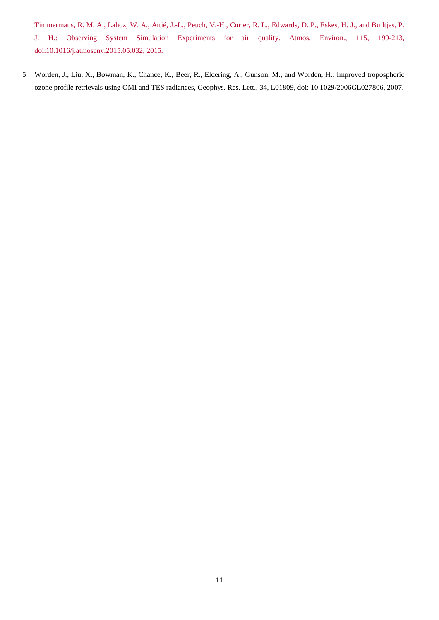Timmermans, R. M. A., Lahoz, W. A., Attié, J.-L., Peuch, V.-H., Curier, R. L., Edwards, D. P., Eskes, H. J., and Builtjes, P. J. H.: Observing System Simulation Experiments for air quality. Atmos. Environ., 115, 199-213, doi:10.1016/j.atmosenv.2015.05.032, 2015.

5 Worden, J., Liu, X., Bowman, K., Chance, K., Beer, R., Eldering, A., Gunson, M., and Worden, H.: Improved tropospheric ozone profile retrievals using OMI and TES radiances, Geophys. Res. Lett., 34, L01809, doi: 10.1029/2006GL027806, 2007.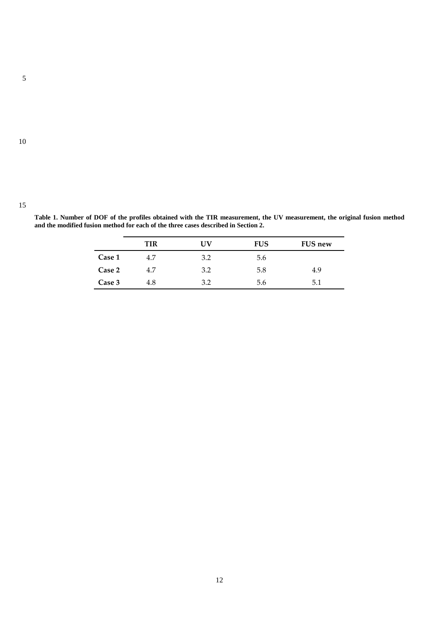10

|               | ΠR  | TV  | <b>FUS</b> | <b>FUS new</b> |
|---------------|-----|-----|------------|----------------|
| <b>Case 1</b> | 4.7 | າ າ | 5.6        |                |
| <b>Case 2</b> | 47  |     |            | -c             |

**Case 3** 4.8 3.2 5.6 5.1

**Table 1. Number of DOF of the profiles obtained with the TIR measurement, the UV measurement, the original fusion method and the modified fusion method for each of the three cases described in Section 2.**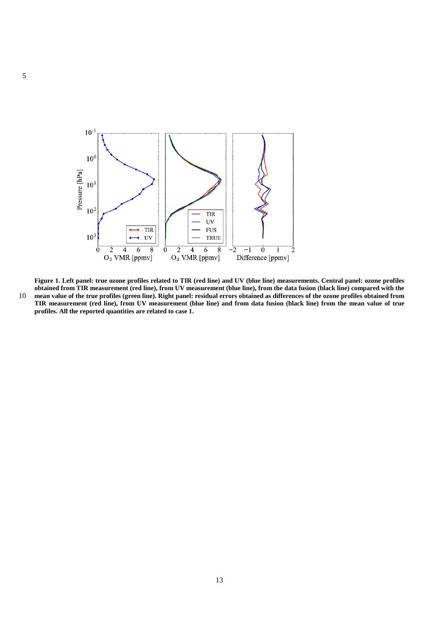

**Figure 1. Left panel: true ozone profiles related to TIR (red line) and UV (blue line) measurements. Central panel: ozone profiles obtained from TIR measurement (red line), from UV measurement (blue line), from the data fusion (black line) compared with the** 10 **mean value of the true profiles (green line). Right panel: residual errors obtained as differences of the ozone profiles obtained from** 

**TIR measurement (red line), from UV measurement (blue line) and from data fusion (black line) from the mean value of true profiles. All the reported quantities are related to case 1.**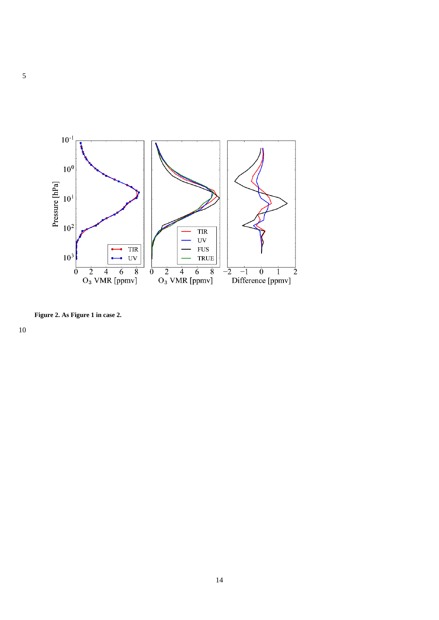

**Figure 2. As Figure 1 in case 2.**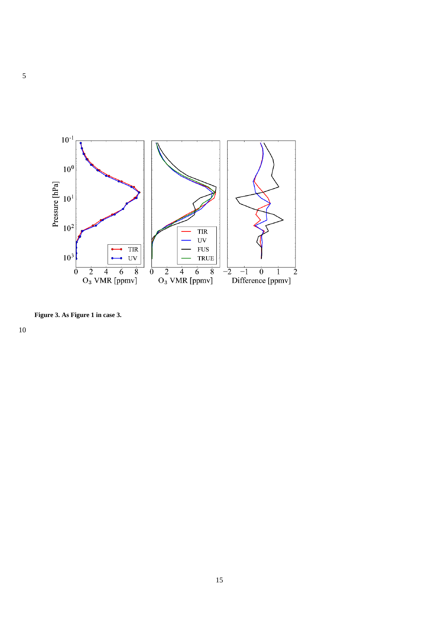

**Figure 3. As Figure 1 in case 3.**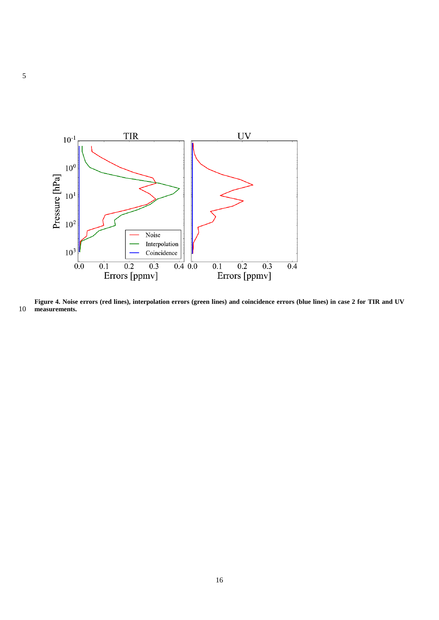

**Figure 4. Noise errors (red lines), interpolation errors (green lines) and coincidence errors (blue lines) in case 2 for TIR and UV measurements.**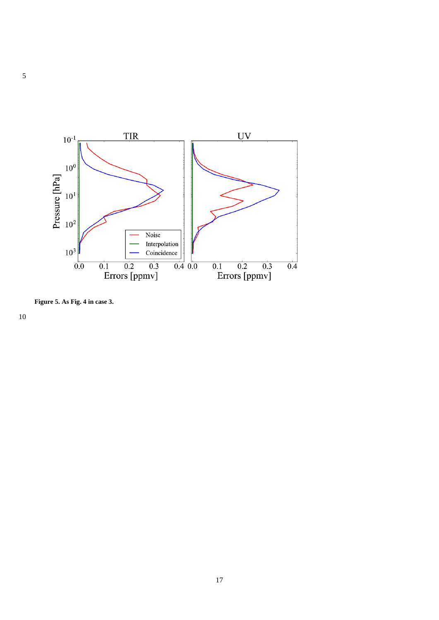

**Figure 5. As Fig. 4 in case 3.**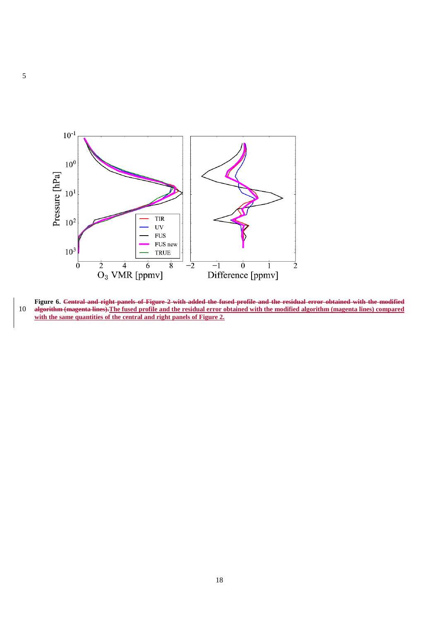

**Figure 6. Central and right panels of Figure 2 with added the fused profile and the residual error obtained with the modified**  10 **algorithm (magenta lines).The fused profile and the residual error obtained with the modified algorithm (magenta lines) compared with the same quantities of the central and right panels of Figure 2.**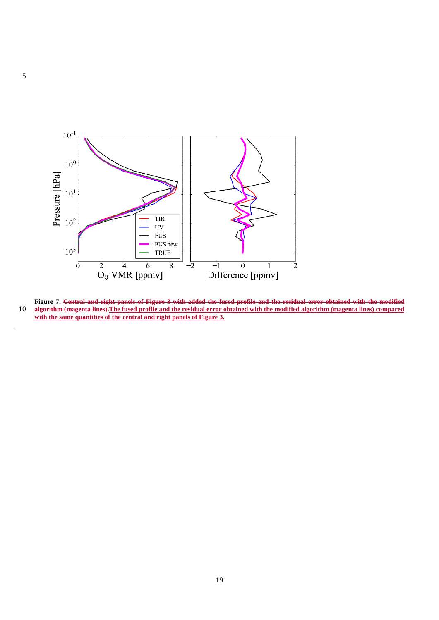

**Figure 7. Central and right panels of Figure 3 with added the fused profile and the residual error obtained with the modified**  10 **algorithm (magenta lines).The fused profile and the residual error obtained with the modified algorithm (magenta lines) compared with the same quantities of the central and right panels of Figure 3.**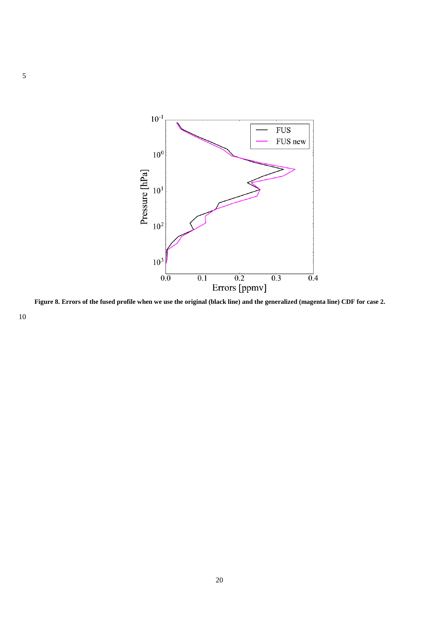

**Figure 8. Errors of the fused profile when we use the original (black line) and the generalized (magenta line) CDF for case 2.**